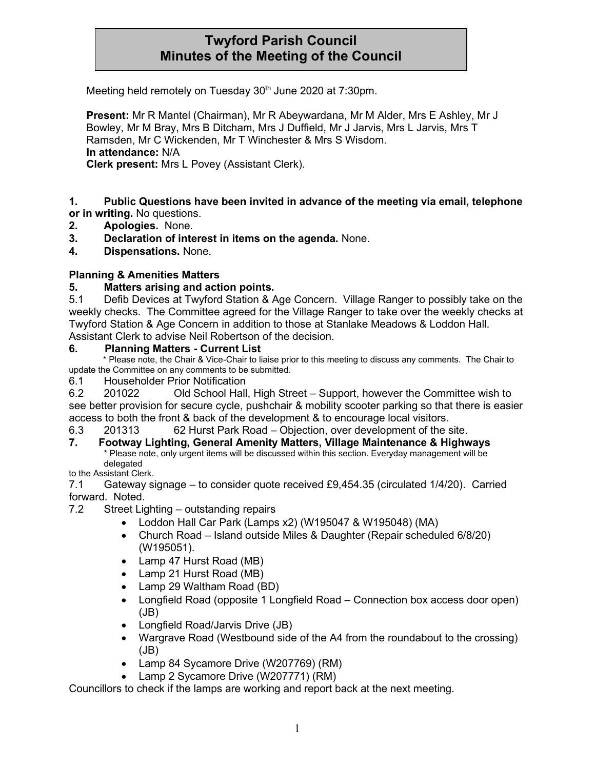# **Twyford Parish Council Minutes of the Meeting of the Council**

Meeting held remotely on Tuesday 30<sup>th</sup> June 2020 at 7:30pm.

**Present:** Mr R Mantel (Chairman), Mr R Abeywardana, Mr M Alder, Mrs E Ashley, Mr J Bowley, Mr M Bray, Mrs B Ditcham, Mrs J Duffield, Mr J Jarvis, Mrs L Jarvis, Mrs T Ramsden, Mr C Wickenden, Mr T Winchester & Mrs S Wisdom. **In attendance:** N/A **Clerk present:** Mrs L Povey (Assistant Clerk).

**1. Public Questions have been invited in advance of the meeting via email, telephone or in writing.** No questions.

- **2. Apologies.** None.
- **3. Declaration of interest in items on the agenda.** None.
- **4. Dispensations.** None.

#### **Planning & Amenities Matters**

#### **5. Matters arising and action points.**

5.1 Defib Devices at Twyford Station & Age Concern. Village Ranger to possibly take on the weekly checks. The Committee agreed for the Village Ranger to take over the weekly checks at Twyford Station & Age Concern in addition to those at Stanlake Meadows & Loddon Hall. Assistant Clerk to advise Neil Robertson of the decision.

#### **6. Planning Matters - Current List**

 \* Please note, the Chair & Vice-Chair to liaise prior to this meeting to discuss any comments. The Chair to update the Committee on any comments to be submitted.

6.1 Householder Prior Notification

6.2 201022 Old School Hall, High Street – Support, however the Committee wish to see better provision for secure cycle, pushchair & mobility scooter parking so that there is easier access to both the front & back of the development & to encourage local visitors.

6.3 201313 62 Hurst Park Road – Objection, over development of the site.

**7. Footway Lighting, General Amenity Matters, Village Maintenance & Highways** \* Please note, only urgent items will be discussed within this section. Everyday management will be delegated

to the Assistant Clerk.

7.1 Gateway signage – to consider quote received £9,454.35 (circulated 1/4/20). Carried forward. Noted.

- 7.2 Street Lighting outstanding repairs
	- Loddon Hall Car Park (Lamps x2) (W195047 & W195048) (MA)
	- Church Road Island outside Miles & Daughter (Repair scheduled 6/8/20) (W195051).
	- Lamp 47 Hurst Road (MB)
	- Lamp 21 Hurst Road (MB)
	- Lamp 29 Waltham Road (BD)
	- Longfield Road (opposite 1 Longfield Road Connection box access door open) (JB)
	- Longfield Road/Jarvis Drive (JB)
	- Wargrave Road (Westbound side of the A4 from the roundabout to the crossing) (JB)
	- Lamp 84 Sycamore Drive (W207769) (RM)
	- Lamp 2 Sycamore Drive (W207771) (RM)

Councillors to check if the lamps are working and report back at the next meeting.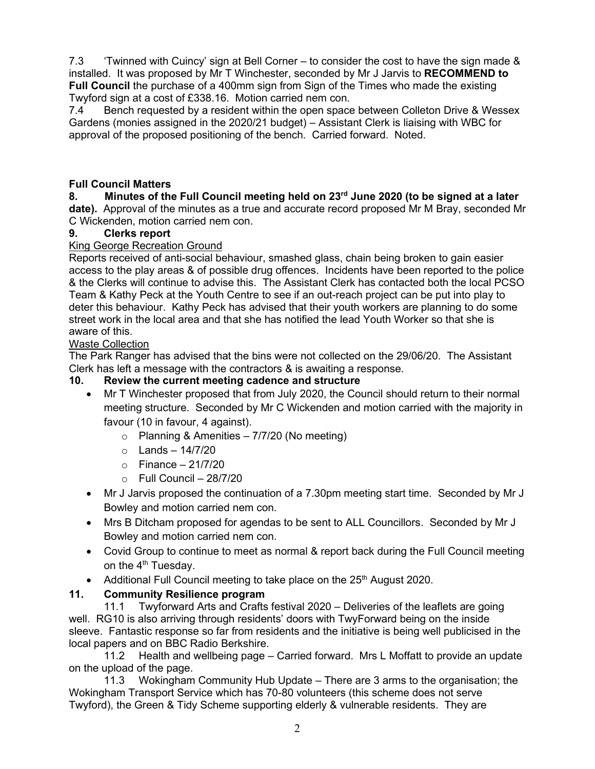7.3 'Twinned with Cuincy' sign at Bell Corner – to consider the cost to have the sign made & installed. It was proposed by Mr T Winchester, seconded by Mr J Jarvis to **RECOMMEND to Full Council** the purchase of a 400mm sign from Sign of the Times who made the existing Twyford sign at a cost of £338.16. Motion carried nem con.

7.4 Bench requested by a resident within the open space between Colleton Drive & Wessex Gardens (monies assigned in the 2020/21 budget) – Assistant Clerk is liaising with WBC for approval of the proposed positioning of the bench. Carried forward. Noted.

### **Full Council Matters**

### **8. Minutes of the Full Council meeting held on 23rd June 2020 (to be signed at a later**

**date).** Approval of the minutes as a true and accurate record proposed Mr M Bray, seconded Mr C Wickenden, motion carried nem con.

### **9. Clerks report**

#### King George Recreation Ground

Reports received of anti-social behaviour, smashed glass, chain being broken to gain easier access to the play areas & of possible drug offences. Incidents have been reported to the police & the Clerks will continue to advise this. The Assistant Clerk has contacted both the local PCSO Team & Kathy Peck at the Youth Centre to see if an out-reach project can be put into play to deter this behaviour. Kathy Peck has advised that their youth workers are planning to do some street work in the local area and that she has notified the lead Youth Worker so that she is aware of this.

#### Waste Collection

The Park Ranger has advised that the bins were not collected on the 29/06/20. The Assistant Clerk has left a message with the contractors & is awaiting a response.

#### **10. Review the current meeting cadence and structure**

- Mr T Winchester proposed that from July 2020, the Council should return to their normal meeting structure. Seconded by Mr C Wickenden and motion carried with the majority in favour (10 in favour, 4 against).
	- $\circ$  Planning & Amenities 7/7/20 (No meeting)
	- $\circ$  Lands 14/7/20
	- $\circ$  Finance 21/7/20
	- $\circ$  Full Council 28/7/20
- Mr J Jarvis proposed the continuation of a 7.30pm meeting start time. Seconded by Mr J Bowley and motion carried nem con.
- Mrs B Ditcham proposed for agendas to be sent to ALL Councillors. Seconded by Mr J Bowley and motion carried nem con.
- Covid Group to continue to meet as normal & report back during the Full Council meeting on the 4<sup>th</sup> Tuesday.
- Additional Full Council meeting to take place on the 25<sup>th</sup> August 2020.

### **11. Community Resilience program**

11.1 Twyforward Arts and Crafts festival 2020 – Deliveries of the leaflets are going well. RG10 is also arriving through residents' doors with TwyForward being on the inside sleeve. Fantastic response so far from residents and the initiative is being well publicised in the local papers and on BBC Radio Berkshire.

11.2 Health and wellbeing page – Carried forward. Mrs L Moffatt to provide an update on the upload of the page.

11.3 Wokingham Community Hub Update – There are 3 arms to the organisation; the Wokingham Transport Service which has 70-80 volunteers (this scheme does not serve Twyford), the Green & Tidy Scheme supporting elderly & vulnerable residents. They are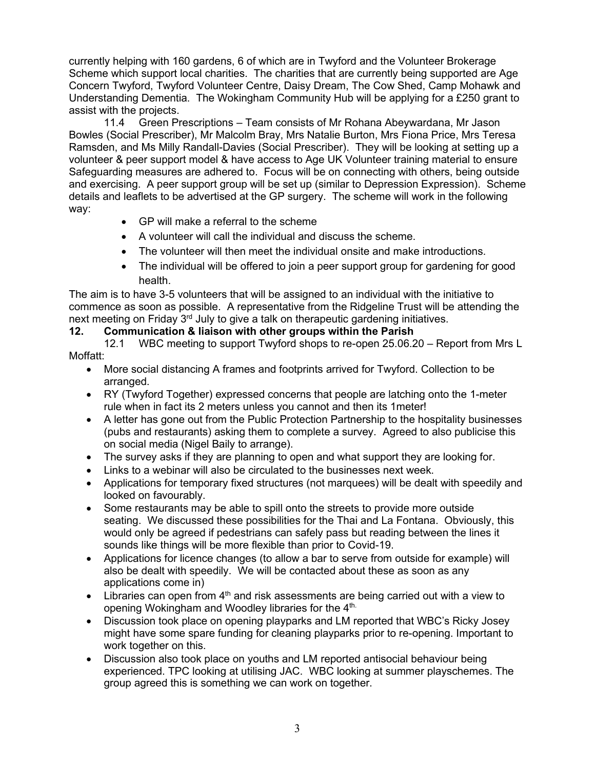currently helping with 160 gardens, 6 of which are in Twyford and the Volunteer Brokerage Scheme which support local charities. The charities that are currently being supported are Age Concern Twyford, Twyford Volunteer Centre, Daisy Dream, The Cow Shed, Camp Mohawk and Understanding Dementia. The Wokingham Community Hub will be applying for a £250 grant to assist with the projects.

11.4 Green Prescriptions – Team consists of Mr Rohana Abeywardana, Mr Jason Bowles (Social Prescriber), Mr Malcolm Bray, Mrs Natalie Burton, Mrs Fiona Price, Mrs Teresa Ramsden, and Ms Milly Randall-Davies (Social Prescriber). They will be looking at setting up a volunteer & peer support model & have access to Age UK Volunteer training material to ensure Safeguarding measures are adhered to. Focus will be on connecting with others, being outside and exercising. A peer support group will be set up (similar to Depression Expression). Scheme details and leaflets to be advertised at the GP surgery. The scheme will work in the following way:

- GP will make a referral to the scheme
- A volunteer will call the individual and discuss the scheme.
- The volunteer will then meet the individual onsite and make introductions.
- The individual will be offered to join a peer support group for gardening for good health.

The aim is to have 3-5 volunteers that will be assigned to an individual with the initiative to commence as soon as possible. A representative from the Ridgeline Trust will be attending the next meeting on Friday  $3<sup>rd</sup>$  July to give a talk on therapeutic gardening initiatives.

### **12. Communication & liaison with other groups within the Parish**

- 12.1 WBC meeting to support Twyford shops to re-open 25.06.20 Report from Mrs L Moffatt:
	- More social distancing A frames and footprints arrived for Twyford. Collection to be arranged.
	- RY (Twyford Together) expressed concerns that people are latching onto the 1-meter rule when in fact its 2 meters unless you cannot and then its 1meter!
	- A letter has gone out from the Public Protection Partnership to the hospitality businesses (pubs and restaurants) asking them to complete a survey. Agreed to also publicise this on social media (Nigel Baily to arrange).
	- The survey asks if they are planning to open and what support they are looking for.
	- Links to a webinar will also be circulated to the businesses next week.
	- Applications for temporary fixed structures (not marquees) will be dealt with speedily and looked on favourably.
	- Some restaurants may be able to spill onto the streets to provide more outside seating. We discussed these possibilities for the Thai and La Fontana. Obviously, this would only be agreed if pedestrians can safely pass but reading between the lines it sounds like things will be more flexible than prior to Covid-19.
	- Applications for licence changes (to allow a bar to serve from outside for example) will also be dealt with speedily. We will be contacted about these as soon as any applications come in)
	- Libraries can open from  $4<sup>th</sup>$  and risk assessments are being carried out with a view to opening Wokingham and Woodley libraries for the 4<sup>th.</sup>
	- Discussion took place on opening playparks and LM reported that WBC's Ricky Josey might have some spare funding for cleaning playparks prior to re-opening. Important to work together on this.
	- Discussion also took place on youths and LM reported antisocial behaviour being experienced. TPC looking at utilising JAC. WBC looking at summer playschemes. The group agreed this is something we can work on together.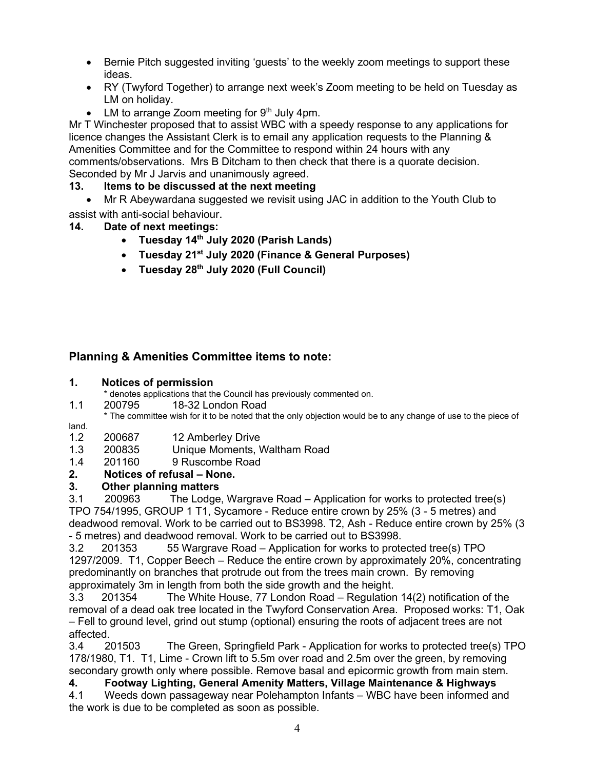- Bernie Pitch suggested inviting 'guests' to the weekly zoom meetings to support these ideas.
- RY (Twyford Together) to arrange next week's Zoom meeting to be held on Tuesday as LM on holiday.
- LM to arrange Zoom meeting for  $9<sup>th</sup>$  July 4pm.

Mr T Winchester proposed that to assist WBC with a speedy response to any applications for licence changes the Assistant Clerk is to email any application requests to the Planning & Amenities Committee and for the Committee to respond within 24 hours with any comments/observations. Mrs B Ditcham to then check that there is a quorate decision. Seconded by Mr J Jarvis and unanimously agreed.

### **13. Items to be discussed at the next meeting**

- Mr R Abeywardana suggested we revisit using JAC in addition to the Youth Club to assist with anti-social behaviour.
- **14. Date of next meetings:** 
	- **Tuesday 14th July 2020 (Parish Lands)**
	- **Tuesday 21st July 2020 (Finance & General Purposes)**
	- **Tuesday 28th July 2020 (Full Council)**

## **Planning & Amenities Committee items to note:**

#### **1. Notices of permission**

- \* denotes applications that the Council has previously commented on.
- 1.1 200795 18-32 London Road
- \* The committee wish for it to be noted that the only objection would be to any change of use to the piece of

#### land.

- 1.2 200687 12 Amberley Drive
- 1.3 200835 Unique Moments, Waltham Road
- 1.4 201160 9 Ruscombe Road

### **2. Notices of refusal – None.**

### **3. Other planning matters**

3.1 200963 The Lodge, Wargrave Road – Application for works to protected tree(s) TPO 754/1995, GROUP 1 T1, Sycamore - Reduce entire crown by 25% (3 - 5 metres) and deadwood removal. Work to be carried out to BS3998. T2, Ash - Reduce entire crown by 25% (3 - 5 metres) and deadwood removal. Work to be carried out to BS3998.

3.2 201353 55 Wargrave Road – Application for works to protected tree(s) TPO 1297/2009. T1, Copper Beech – Reduce the entire crown by approximately 20%, concentrating predominantly on branches that protrude out from the trees main crown. By removing approximately 3m in length from both the side growth and the height.

3.3 201354 The White House, 77 London Road – Regulation 14(2) notification of the removal of a dead oak tree located in the Twyford Conservation Area. Proposed works: T1, Oak – Fell to ground level, grind out stump (optional) ensuring the roots of adjacent trees are not affected.

3.4 201503 The Green, Springfield Park - Application for works to protected tree(s) TPO 178/1980, T1. T1, Lime - Crown lift to 5.5m over road and 2.5m over the green, by removing secondary growth only where possible. Remove basal and epicormic growth from main stem.

### **4. Footway Lighting, General Amenity Matters, Village Maintenance & Highways**

4.1 Weeds down passageway near Polehampton Infants – WBC have been informed and the work is due to be completed as soon as possible.